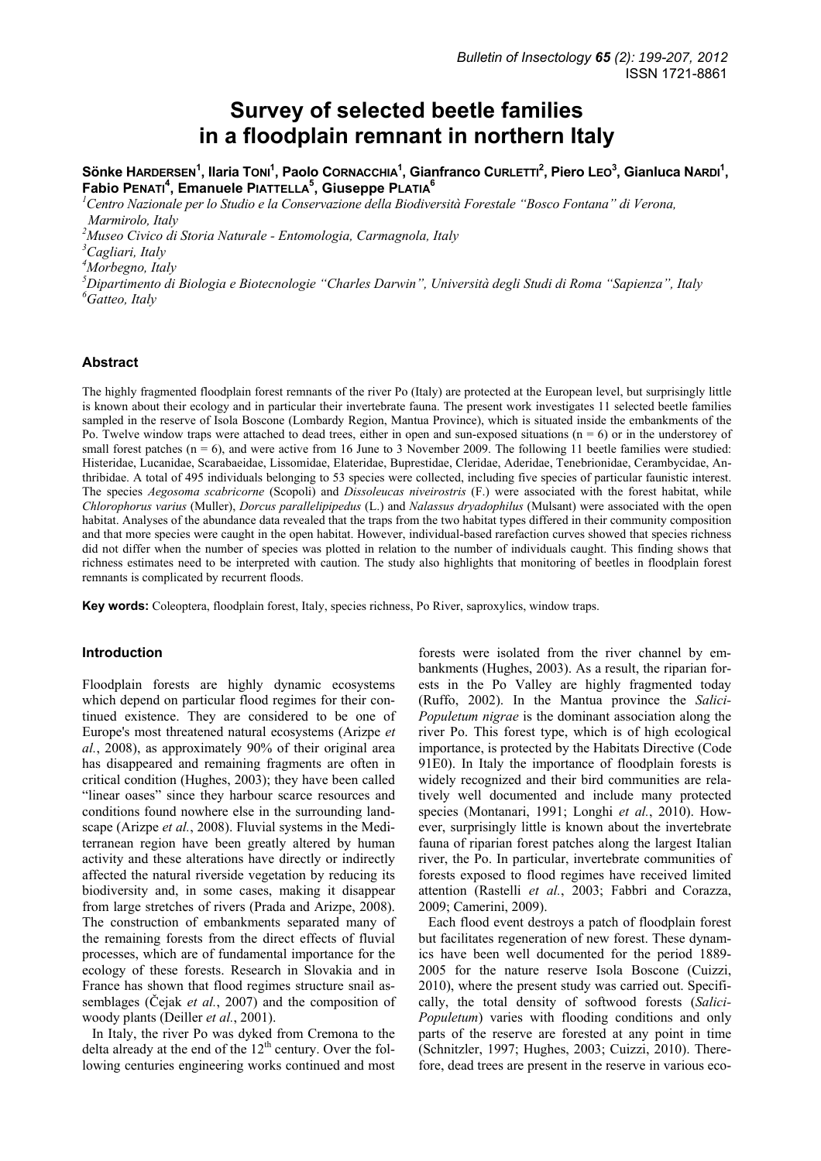# **Survey of selected beetle families in a floodplain remnant in northern Italy**

Sönke HARDERSEN<sup>1</sup>, Ilaria TONI<sup>1</sup>, Paolo CORNACCHIA<sup>1</sup>, Gianfranco CURLETTI<sup>2</sup>, Piero LEO<sup>3</sup>, Gianluca NARDI<sup>1</sup>, **Fabio PENATI<sup>4</sup> , Emanuele PIATTELLA5 , Giuseppe PLATIA6**

<sup>1</sup> Centro Nazionale per lo Studio e la Conservazione della Biodiversità Forestale "Bosco Fontana" di Verona, *Marmirolo, Italy* 

*2 Museo Civico di Storia Naturale - Entomologia, Carmagnola, Italy* 

*3 Cagliari, Italy* 

*4 Morbegno, Italy* 

*5 Dipartimento di Biologia e Biotecnologie "Charles Darwin", Università degli Studi di Roma "Sapienza", Italy 6 Gatteo, Italy* 

### **Abstract**

The highly fragmented floodplain forest remnants of the river Po (Italy) are protected at the European level, but surprisingly little is known about their ecology and in particular their invertebrate fauna. The present work investigates 11 selected beetle families sampled in the reserve of Isola Boscone (Lombardy Region, Mantua Province), which is situated inside the embankments of the Po. Twelve window traps were attached to dead trees, either in open and sun-exposed situations  $(n = 6)$  or in the understorey of small forest patches  $(n = 6)$ , and were active from 16 June to 3 November 2009. The following 11 beetle families were studied: Histeridae, Lucanidae, Scarabaeidae, Lissomidae, Elateridae, Buprestidae, Cleridae, Aderidae, Tenebrionidae, Cerambycidae, Anthribidae. A total of 495 individuals belonging to 53 species were collected, including five species of particular faunistic interest. The species *Aegosoma scabricorne* (Scopoli) and *Dissoleucas niveirostris* (F.) were associated with the forest habitat, while *Chlorophorus varius* (Muller), *Dorcus parallelipipedus* (L.) and *Nalassus dryadophilus* (Mulsant) were associated with the open habitat. Analyses of the abundance data revealed that the traps from the two habitat types differed in their community composition and that more species were caught in the open habitat. However, individual-based rarefaction curves showed that species richness did not differ when the number of species was plotted in relation to the number of individuals caught. This finding shows that richness estimates need to be interpreted with caution. The study also highlights that monitoring of beetles in floodplain forest remnants is complicated by recurrent floods.

**Key words:** Coleoptera, floodplain forest, Italy, species richness, Po River, saproxylics, window traps.

#### **Introduction**

Floodplain forests are highly dynamic ecosystems which depend on particular flood regimes for their continued existence. They are considered to be one of Europe's most threatened natural ecosystems (Arizpe *et al.*, 2008), as approximately 90% of their original area has disappeared and remaining fragments are often in critical condition (Hughes, 2003); they have been called "linear oases" since they harbour scarce resources and conditions found nowhere else in the surrounding landscape (Arizpe *et al.*, 2008). Fluvial systems in the Mediterranean region have been greatly altered by human activity and these alterations have directly or indirectly affected the natural riverside vegetation by reducing its biodiversity and, in some cases, making it disappear from large stretches of rivers (Prada and Arizpe, 2008). The construction of embankments separated many of the remaining forests from the direct effects of fluvial processes, which are of fundamental importance for the ecology of these forests. Research in Slovakia and in France has shown that flood regimes structure snail assemblages (Čejak *et al.*, 2007) and the composition of woody plants (Deiller *et al.*, 2001).

In Italy, the river Po was dyked from Cremona to the delta already at the end of the  $12<sup>th</sup>$  century. Over the following centuries engineering works continued and most forests were isolated from the river channel by embankments (Hughes, 2003). As a result, the riparian forests in the Po Valley are highly fragmented today (Ruffo, 2002). In the Mantua province the *Salici-Populetum nigrae* is the dominant association along the river Po. This forest type, which is of high ecological importance, is protected by the Habitats Directive (Code 91E0). In Italy the importance of floodplain forests is widely recognized and their bird communities are relatively well documented and include many protected species (Montanari, 1991; Longhi *et al.*, 2010). However, surprisingly little is known about the invertebrate fauna of riparian forest patches along the largest Italian river, the Po. In particular, invertebrate communities of forests exposed to flood regimes have received limited attention (Rastelli *et al.*, 2003; Fabbri and Corazza, 2009; Camerini, 2009).

Each flood event destroys a patch of floodplain forest but facilitates regeneration of new forest. These dynamics have been well documented for the period 1889- 2005 for the nature reserve Isola Boscone (Cuizzi, 2010), where the present study was carried out. Specifically, the total density of softwood forests (*Salici-Populetum*) varies with flooding conditions and only parts of the reserve are forested at any point in time (Schnitzler, 1997; Hughes, 2003; Cuizzi, 2010). Therefore, dead trees are present in the reserve in various eco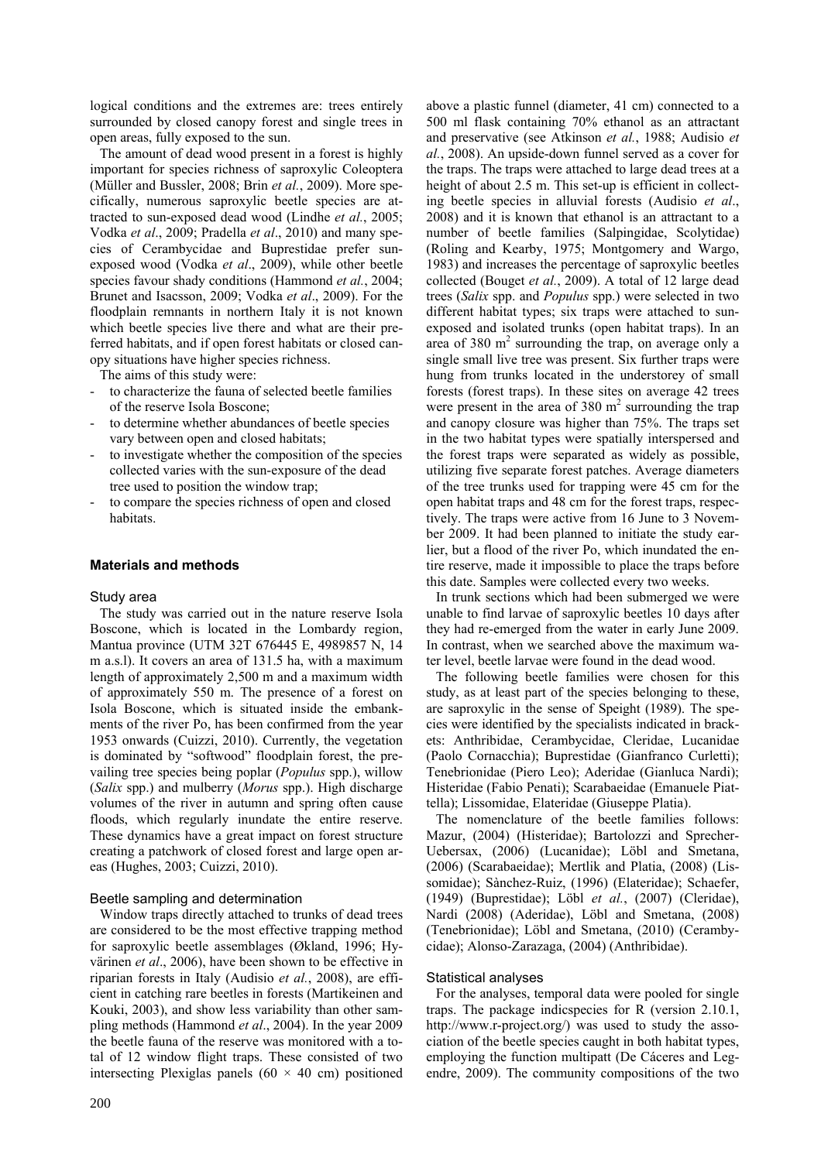logical conditions and the extremes are: trees entirely surrounded by closed canopy forest and single trees in open areas, fully exposed to the sun.

The amount of dead wood present in a forest is highly important for species richness of saproxylic Coleoptera (Müller and Bussler, 2008; Brin *et al.*, 2009). More specifically, numerous saproxylic beetle species are attracted to sun-exposed dead wood (Lindhe *et al.*, 2005; Vodka *et al*., 2009; Pradella *et al*., 2010) and many species of Cerambycidae and Buprestidae prefer sunexposed wood (Vodka *et al*., 2009), while other beetle species favour shady conditions (Hammond *et al.*, 2004; Brunet and Isacsson, 2009; Vodka *et al*., 2009). For the floodplain remnants in northern Italy it is not known which beetle species live there and what are their preferred habitats, and if open forest habitats or closed canopy situations have higher species richness.

The aims of this study were:

- to characterize the fauna of selected beetle families of the reserve Isola Boscone;
- to determine whether abundances of beetle species vary between open and closed habitats;
- to investigate whether the composition of the species collected varies with the sun-exposure of the dead tree used to position the window trap;
- to compare the species richness of open and closed habitats.

## **Materials and methods**

#### Study area

The study was carried out in the nature reserve Isola Boscone, which is located in the Lombardy region, Mantua province (UTM 32T 676445 E, 4989857 N, 14 m a.s.l). It covers an area of 131.5 ha, with a maximum length of approximately 2,500 m and a maximum width of approximately 550 m. The presence of a forest on Isola Boscone, which is situated inside the embankments of the river Po, has been confirmed from the year 1953 onwards (Cuizzi, 2010). Currently, the vegetation is dominated by "softwood" floodplain forest, the prevailing tree species being poplar (*Populus* spp.), willow (*Salix* spp.) and mulberry (*Morus* spp.). High discharge volumes of the river in autumn and spring often cause floods, which regularly inundate the entire reserve. These dynamics have a great impact on forest structure creating a patchwork of closed forest and large open areas (Hughes, 2003; Cuizzi, 2010).

## Beetle sampling and determination

Window traps directly attached to trunks of dead trees are considered to be the most effective trapping method for saproxylic beetle assemblages (Økland, 1996; Hyvärinen *et al*., 2006), have been shown to be effective in riparian forests in Italy (Audisio *et al.*, 2008), are efficient in catching rare beetles in forests (Martikeinen and Kouki, 2003), and show less variability than other sampling methods (Hammond *et al*., 2004). In the year 2009 the beetle fauna of the reserve was monitored with a total of 12 window flight traps. These consisted of two intersecting Plexiglas panels  $(60 \times 40 \text{ cm})$  positioned above a plastic funnel (diameter, 41 cm) connected to a 500 ml flask containing 70% ethanol as an attractant and preservative (see Atkinson *et al.*, 1988; Audisio *et al.*, 2008). An upside-down funnel served as a cover for the traps. The traps were attached to large dead trees at a height of about 2.5 m. This set-up is efficient in collecting beetle species in alluvial forests (Audisio *et al*., 2008) and it is known that ethanol is an attractant to a number of beetle families (Salpingidae, Scolytidae) (Roling and Kearby, 1975; Montgomery and Wargo, 1983) and increases the percentage of saproxylic beetles collected (Bouget *et al.*, 2009). A total of 12 large dead trees (*Salix* spp. and *Populus* spp.) were selected in two different habitat types; six traps were attached to sunexposed and isolated trunks (open habitat traps). In an area of  $380 \text{ m}^2$  surrounding the trap, on average only a single small live tree was present. Six further traps were hung from trunks located in the understorey of small forests (forest traps). In these sites on average 42 trees were present in the area of  $380 \text{ m}^2$  surrounding the trap and canopy closure was higher than 75%. The traps set in the two habitat types were spatially interspersed and the forest traps were separated as widely as possible, utilizing five separate forest patches. Average diameters of the tree trunks used for trapping were 45 cm for the open habitat traps and 48 cm for the forest traps, respectively. The traps were active from 16 June to 3 November 2009. It had been planned to initiate the study earlier, but a flood of the river Po, which inundated the entire reserve, made it impossible to place the traps before this date. Samples were collected every two weeks.

In trunk sections which had been submerged we were unable to find larvae of saproxylic beetles 10 days after they had re-emerged from the water in early June 2009. In contrast, when we searched above the maximum water level, beetle larvae were found in the dead wood.

The following beetle families were chosen for this study, as at least part of the species belonging to these, are saproxylic in the sense of Speight (1989). The species were identified by the specialists indicated in brackets: Anthribidae, Cerambycidae, Cleridae, Lucanidae (Paolo Cornacchia); Buprestidae (Gianfranco Curletti); Tenebrionidae (Piero Leo); Aderidae (Gianluca Nardi); Histeridae (Fabio Penati); Scarabaeidae (Emanuele Piattella); Lissomidae, Elateridae (Giuseppe Platia).

The nomenclature of the beetle families follows: Mazur, (2004) (Histeridae); Bartolozzi and Sprecher-Uebersax, (2006) (Lucanidae); Löbl and Smetana, (2006) (Scarabaeidae); Mertlik and Platia, (2008) (Lissomidae); Sànchez-Ruiz, (1996) (Elateridae); Schaefer, (1949) (Buprestidae); Löbl *et al.*, (2007) (Cleridae), Nardi (2008) (Aderidae), Löbl and Smetana, (2008) (Tenebrionidae); Löbl and Smetana, (2010) (Cerambycidae); Alonso-Zarazaga, (2004) (Anthribidae).

## Statistical analyses

For the analyses, temporal data were pooled for single traps. The package indicspecies for R (version 2.10.1, http://www.r-project.org/) was used to study the association of the beetle species caught in both habitat types, employing the function multipatt (De Cáceres and Legendre, 2009). The community compositions of the two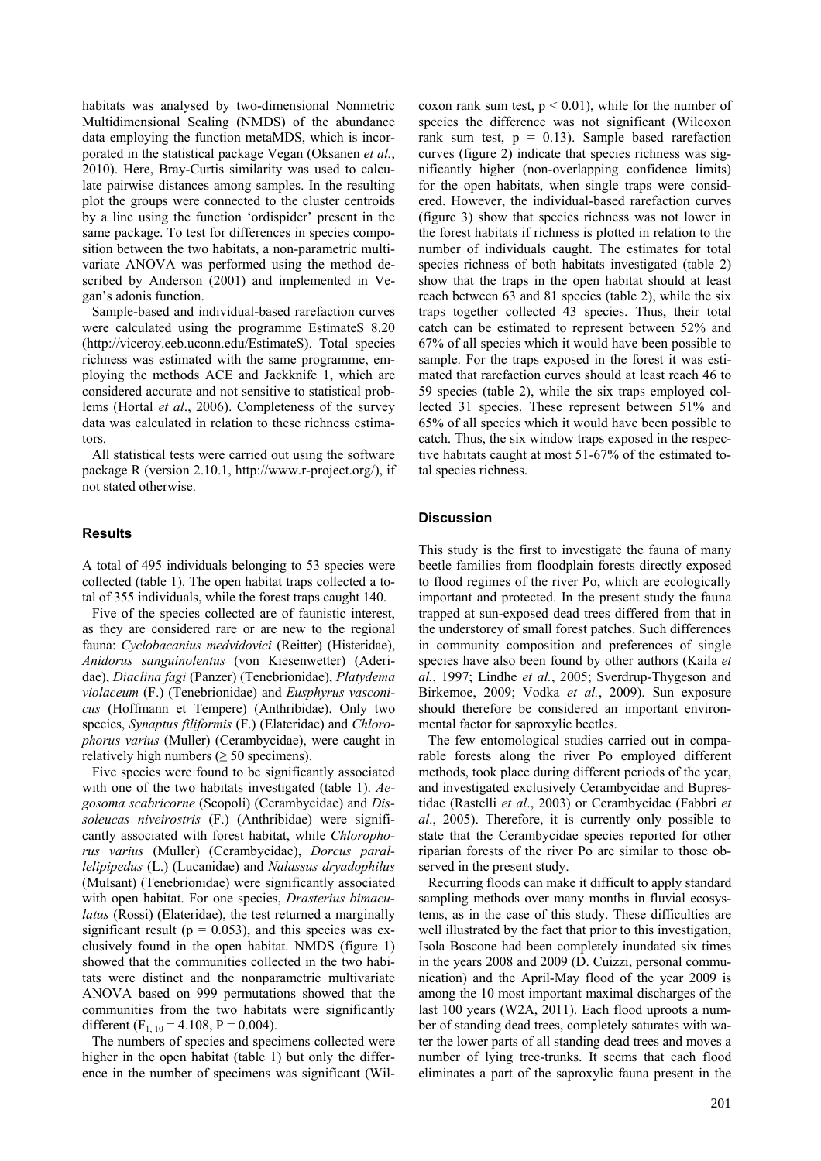habitats was analysed by two-dimensional Nonmetric Multidimensional Scaling (NMDS) of the abundance data employing the function metaMDS, which is incorporated in the statistical package Vegan (Oksanen *et al.*, 2010). Here, Bray-Curtis similarity was used to calculate pairwise distances among samples. In the resulting plot the groups were connected to the cluster centroids by a line using the function 'ordispider' present in the same package. To test for differences in species composition between the two habitats, a non-parametric multivariate ANOVA was performed using the method described by Anderson (2001) and implemented in Vegan's adonis function.

Sample-based and individual-based rarefaction curves were calculated using the programme EstimateS 8.20 (http://viceroy.eeb.uconn.edu/EstimateS). Total species richness was estimated with the same programme, employing the methods ACE and Jackknife 1, which are considered accurate and not sensitive to statistical problems (Hortal *et al*., 2006). Completeness of the survey data was calculated in relation to these richness estimators.

All statistical tests were carried out using the software package R (version 2.10.1, http://www.r-project.org/), if not stated otherwise.

### **Results**

A total of 495 individuals belonging to 53 species were collected (table 1). The open habitat traps collected a total of 355 individuals, while the forest traps caught 140.

Five of the species collected are of faunistic interest, as they are considered rare or are new to the regional fauna: *Cyclobacanius medvidovici* (Reitter) (Histeridae), *Anidorus sanguinolentus* (von Kiesenwetter) (Aderidae), *Diaclina fagi* (Panzer) (Tenebrionidae), *Platydema violaceum* (F.) (Tenebrionidae) and *Eusphyrus vasconicus* (Hoffmann et Tempere) (Anthribidae). Only two species, *Synaptus filiformis* (F.) (Elateridae) and *Chlorophorus varius* (Muller) (Cerambycidae), were caught in relatively high numbers ( $\geq 50$  specimens).

Five species were found to be significantly associated with one of the two habitats investigated (table 1). *Aegosoma scabricorne* (Scopoli) (Cerambycidae) and *Dissoleucas niveirostris* (F.) (Anthribidae) were significantly associated with forest habitat, while *Chlorophorus varius* (Muller) (Cerambycidae), *Dorcus parallelipipedus* (L.) (Lucanidae) and *Nalassus dryadophilus* (Mulsant) (Tenebrionidae) were significantly associated with open habitat. For one species, *Drasterius bimaculatus* (Rossi) (Elateridae), the test returned a marginally significant result ( $p = 0.053$ ), and this species was exclusively found in the open habitat. NMDS (figure 1) showed that the communities collected in the two habitats were distinct and the nonparametric multivariate ANOVA based on 999 permutations showed that the communities from the two habitats were significantly different  $(F_{1,10} = 4.108, P = 0.004)$ .

The numbers of species and specimens collected were higher in the open habitat (table 1) but only the difference in the number of specimens was significant (Wil-

coxon rank sum test,  $p < 0.01$ ), while for the number of species the difference was not significant (Wilcoxon rank sum test,  $p = 0.13$ ). Sample based rarefaction curves (figure 2) indicate that species richness was significantly higher (non-overlapping confidence limits) for the open habitats, when single traps were considered. However, the individual-based rarefaction curves (figure 3) show that species richness was not lower in the forest habitats if richness is plotted in relation to the number of individuals caught. The estimates for total species richness of both habitats investigated (table 2) show that the traps in the open habitat should at least reach between 63 and 81 species (table 2), while the six traps together collected 43 species. Thus, their total catch can be estimated to represent between 52% and 67% of all species which it would have been possible to sample. For the traps exposed in the forest it was estimated that rarefaction curves should at least reach 46 to 59 species (table 2), while the six traps employed collected 31 species. These represent between 51% and 65% of all species which it would have been possible to catch. Thus, the six window traps exposed in the respective habitats caught at most 51-67% of the estimated total species richness.

## **Discussion**

This study is the first to investigate the fauna of many beetle families from floodplain forests directly exposed to flood regimes of the river Po, which are ecologically important and protected. In the present study the fauna trapped at sun-exposed dead trees differed from that in the understorey of small forest patches. Such differences in community composition and preferences of single species have also been found by other authors (Kaila *et al.*, 1997; Lindhe *et al.*, 2005; Sverdrup-Thygeson and Birkemoe, 2009; Vodka *et al.*, 2009). Sun exposure should therefore be considered an important environmental factor for saproxylic beetles.

The few entomological studies carried out in comparable forests along the river Po employed different methods, took place during different periods of the year, and investigated exclusively Cerambycidae and Buprestidae (Rastelli *et al*., 2003) or Cerambycidae (Fabbri *et al*., 2005). Therefore, it is currently only possible to state that the Cerambycidae species reported for other riparian forests of the river Po are similar to those observed in the present study.

Recurring floods can make it difficult to apply standard sampling methods over many months in fluvial ecosystems, as in the case of this study. These difficulties are well illustrated by the fact that prior to this investigation, Isola Boscone had been completely inundated six times in the years 2008 and 2009 (D. Cuizzi, personal communication) and the April-May flood of the year 2009 is among the 10 most important maximal discharges of the last 100 years (W2A, 2011). Each flood uproots a number of standing dead trees, completely saturates with water the lower parts of all standing dead trees and moves a number of lying tree-trunks. It seems that each flood eliminates a part of the saproxylic fauna present in the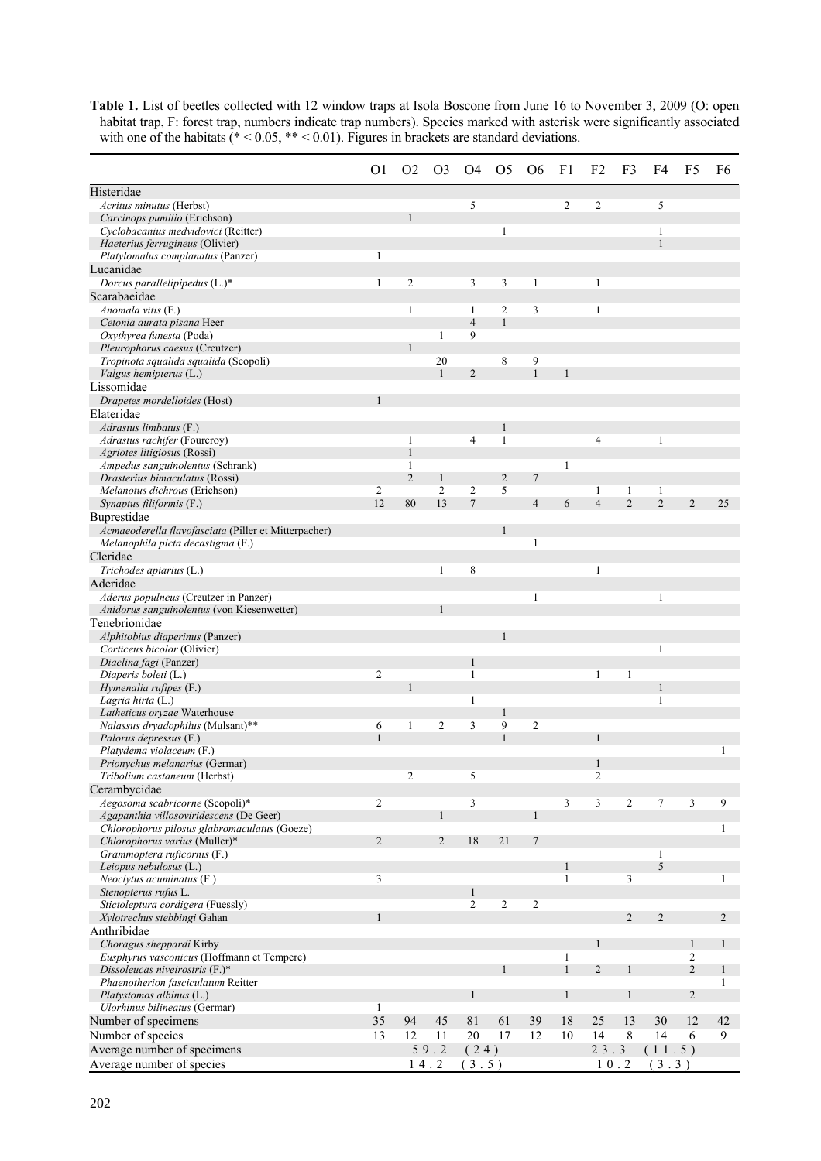| <b>Table 1.</b> List of beetles collected with 12 window traps at Isola Boscone from June 16 to November 3, 2009 (O: open |
|---------------------------------------------------------------------------------------------------------------------------|
| habitat trap, F: forest trap, numbers indicate trap numbers). Species marked with asterisk were significantly associated  |
| with one of the habitats ( $* < 0.05$ , $* < 0.01$ ). Figures in brackets are standard deviations.                        |

|                                                                               | O1             | O <sub>2</sub> | O <sub>3</sub> | O <sub>4</sub>                 | O <sub>5</sub>    | O <sub>6</sub>  | F <sub>1</sub> | F <sub>2</sub>          | F3             | F4                | F5             | F6             |
|-------------------------------------------------------------------------------|----------------|----------------|----------------|--------------------------------|-------------------|-----------------|----------------|-------------------------|----------------|-------------------|----------------|----------------|
| Histeridae                                                                    |                |                |                |                                |                   |                 |                |                         |                |                   |                |                |
| Acritus minutus (Herbst)<br>Carcinops pumilio (Erichson)                      |                | $\mathbf{1}$   |                | 5                              |                   |                 | 2              | 2                       |                | 5                 |                |                |
| Cyclobacanius medvidovici (Reitter)                                           |                |                |                |                                | $\mathbf{1}$      |                 |                |                         |                | 1                 |                |                |
| Haeterius ferrugineus (Olivier)                                               |                |                |                |                                |                   |                 |                |                         |                | $\mathbf{1}$      |                |                |
| Platylomalus complanatus (Panzer)                                             | 1              |                |                |                                |                   |                 |                |                         |                |                   |                |                |
| Lucanidae<br>Dorcus parallelipipedus (L.)*                                    | $\mathbf{1}$   | $\overline{c}$ |                | 3                              | 3                 | $\mathbf{1}$    |                | $\mathbf{1}$            |                |                   |                |                |
| Scarabaeidae                                                                  |                |                |                |                                |                   |                 |                |                         |                |                   |                |                |
| Anomala vitis (F.)                                                            |                | $\mathbf{1}$   |                | 1                              | $\overline{2}$    | 3               |                | $\mathbf{1}$            |                |                   |                |                |
| Cetonia aurata pisana Heer                                                    |                |                |                | $\overline{4}$                 | $\mathbf{1}$      |                 |                |                         |                |                   |                |                |
| Oxythyrea funesta (Poda)                                                      |                |                | 1              | 9                              |                   |                 |                |                         |                |                   |                |                |
| Pleurophorus caesus (Creutzer)<br>Tropinota squalida squalida (Scopoli)       |                | 1              | 20             |                                | 8                 | 9               |                |                         |                |                   |                |                |
| Valgus hemipterus (L.)                                                        |                |                | $\mathbf{1}$   | $\overline{2}$                 |                   | $\mathbf{1}$    | 1              |                         |                |                   |                |                |
| Lissomidae                                                                    |                |                |                |                                |                   |                 |                |                         |                |                   |                |                |
| Drapetes mordelloides (Host)                                                  |                |                |                |                                |                   |                 |                |                         |                |                   |                |                |
| Elateridae                                                                    |                |                |                |                                |                   |                 |                |                         |                |                   |                |                |
| Adrastus limbatus (F.)                                                        |                | $\mathbf{1}$   |                | $\overline{4}$                 | 1<br>$\mathbf{1}$ |                 |                | $\overline{4}$          |                | $\mathbf{1}$      |                |                |
| Adrastus rachifer (Fourcroy)<br>Agriotes litigiosus (Rossi)                   |                | $\mathbf{1}$   |                |                                |                   |                 |                |                         |                |                   |                |                |
| Ampedus sanguinolentus (Schrank)                                              |                | $\mathbf{1}$   |                |                                |                   |                 | 1              |                         |                |                   |                |                |
| Drasterius bimaculatus (Rossi)                                                |                | $\overline{2}$ | $\mathbf{1}$   |                                | $\overline{c}$    | $\tau$          |                |                         |                |                   |                |                |
| Melanotus dichrous (Erichson)                                                 | $\overline{c}$ |                | $\overline{c}$ | $\overline{c}$                 | 5                 |                 |                | 1                       | 1              | 1                 |                |                |
| Synaptus filiformis (F.)<br>Buprestidae                                       | 12             | 80             | 13             | $\overline{7}$                 |                   | $\overline{4}$  | 6              | $\overline{4}$          | $\overline{2}$ | $\overline{2}$    | $\overline{2}$ | 25             |
| Acmaeoderella flavofasciata (Piller et Mitterpacher)                          |                |                |                |                                | 1                 |                 |                |                         |                |                   |                |                |
| Melanophila picta decastigma (F.)                                             |                |                |                |                                |                   | 1               |                |                         |                |                   |                |                |
| Cleridae                                                                      |                |                |                |                                |                   |                 |                |                         |                |                   |                |                |
| Trichodes apiarius (L.)                                                       |                |                | $\mathbf{1}$   | 8                              |                   |                 |                | 1                       |                |                   |                |                |
| Aderidae                                                                      |                |                |                |                                |                   |                 |                |                         |                |                   |                |                |
| Aderus populneus (Creutzer in Panzer)                                         |                |                | $\mathbf{1}$   |                                |                   | $\mathbf{1}$    |                |                         |                | 1                 |                |                |
| Anidorus sanguinolentus (von Kiesenwetter)<br>Tenebrionidae                   |                |                |                |                                |                   |                 |                |                         |                |                   |                |                |
| Alphitobius diaperinus (Panzer)                                               |                |                |                |                                |                   |                 |                |                         |                |                   |                |                |
| Corticeus bicolor (Olivier)                                                   |                |                |                |                                |                   |                 |                |                         |                | $\mathbf{1}$      |                |                |
| Diaclina fagi (Panzer)                                                        |                |                |                | $\mathbf{1}$                   |                   |                 |                |                         |                |                   |                |                |
| Diaperis boleti (L.)                                                          | $\overline{c}$ | 1              |                | $\mathbf{1}$                   |                   |                 |                | $\mathbf{1}$            | 1              |                   |                |                |
| Hymenalia rufipes (F.)<br>Lagria hirta (L.)                                   |                |                |                | 1                              |                   |                 |                |                         |                | $\mathbf{1}$<br>1 |                |                |
| Latheticus oryzae Waterhouse                                                  |                |                |                |                                | $\mathbf{1}$      |                 |                |                         |                |                   |                |                |
| Nalassus dryadophilus (Mulsant)**                                             | 6              | 1              | 2              | 3                              | 9                 | $\overline{c}$  |                |                         |                |                   |                |                |
| Palorus depressus (F.)                                                        | $\mathbf{1}$   |                |                |                                | $\mathbf{1}$      |                 |                | $\mathbf{1}$            |                |                   |                |                |
| Platydema violaceum (F.)<br>Prionychus melanarius (Germar)                    |                |                |                |                                |                   |                 |                | $\mathbf{1}$            |                |                   |                | 1              |
| Tribolium castaneum (Herbst)                                                  |                |                |                | 5                              |                   |                 |                | $\overline{\mathbf{c}}$ |                |                   |                |                |
| Cerambycidae                                                                  |                |                |                |                                |                   |                 |                |                         |                |                   |                |                |
| Aegosoma scabricorne (Scopoli)*                                               | 2              |                |                | 3                              |                   |                 | 3              | 3                       | $\overline{2}$ | $\tau$            | $\mathfrak{Z}$ | 9              |
| Agapanthia villosoviridescens (De Geer)                                       |                |                | $\mathbf{1}$   |                                |                   | $\mathbf{1}$    |                |                         |                |                   |                |                |
| Chlorophorus pilosus glabromaculatus (Goeze)<br>Chlorophorus varius (Muller)* | $\overline{2}$ |                | 2              | 18                             | 21                | $7\phantom{.0}$ |                |                         |                |                   |                | $\mathbf{1}$   |
| Grammoptera ruficornis (F.)                                                   |                |                |                |                                |                   |                 |                |                         |                | $\mathbf{1}$      |                |                |
| Leiopus nebulosus (L.)                                                        |                |                |                |                                |                   |                 | $\mathbf{1}$   |                         |                | 5                 |                |                |
| Neoclytus acuminatus (F.)                                                     | 3              |                |                |                                |                   |                 | 1              |                         | 3              |                   |                | 1              |
| Stenopterus rufus L.                                                          |                |                |                | $\mathbf{1}$<br>$\overline{c}$ | $\overline{2}$    |                 |                |                         |                |                   |                |                |
| Stictoleptura cordigera (Fuessly)<br>Xylotrechus stebbingi Gahan              | $\mathbf{1}$   |                |                |                                |                   | $\overline{c}$  |                |                         | $\overline{2}$ | $\overline{2}$    |                | $\overline{2}$ |
| Anthribidae                                                                   |                |                |                |                                |                   |                 |                |                         |                |                   |                |                |
| Choragus sheppardi Kirby                                                      |                |                |                |                                |                   |                 |                | 1                       |                |                   | 1              | 1              |
| Eusphyrus vasconicus (Hoffmann et Tempere)                                    |                |                |                |                                |                   |                 | $\mathbf{1}$   |                         |                |                   | 2              |                |
| Dissoleucas niveirostris $(F.)*$                                              |                |                |                |                                | $\mathbf{1}$      |                 | $\mathbf{1}$   | $\overline{2}$          | 1              |                   | $\overline{2}$ | 1              |
| Phaenotherion fasciculatum Reitter<br>Platystomos albinus (L.)                |                |                |                | $\mathbf{1}$                   |                   |                 | 1              |                         | $\mathbf{1}$   |                   | $\overline{2}$ | 1              |
| Ulorhinus bilineatus (Germar)                                                 | $\mathbf{1}$   |                |                |                                |                   |                 |                |                         |                |                   |                |                |
| Number of specimens                                                           | 35             | 94             | 45             | 81                             | 61                | 39              | 18             | 25                      | 13             | 30                | 12             | 42             |
| Number of species                                                             | 13             | 12             | 11             | 20                             | 17                | 12              | 10             | 14                      | $\,8\,$        | 14                | 6              | 9              |
| Average number of specimens                                                   |                |                | 59.2           | (24)                           |                   |                 |                | $23.3$                  |                | (11.5)            |                |                |
| Average number of species                                                     |                |                | $1\,4$ . $2$   | (3.5)                          |                   |                 |                | $1\ 0$ . $2$            |                | (3.3)             |                |                |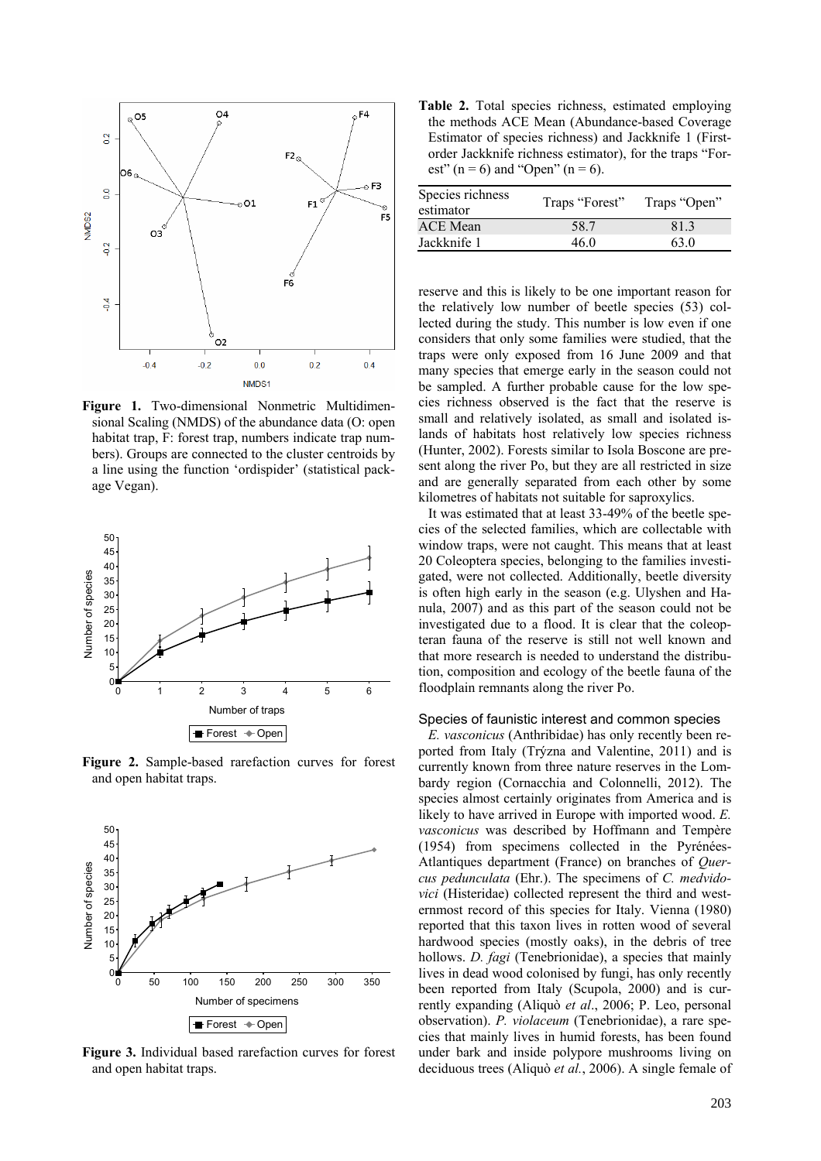

**Figure 1.** Two-dimensional Nonmetric Multidimensional Scaling (NMDS) of the abundance data (O: open habitat trap, F: forest trap, numbers indicate trap numbers). Groups are connected to the cluster centroids by a line using the function 'ordispider' (statistical package Vegan).



**Figure 2.** Sample-based rarefaction curves for forest and open habitat traps.



**Figure 3.** Individual based rarefaction curves for forest and open habitat traps.

**Table 2.** Total species richness, estimated employing the methods ACE Mean (Abundance-based Coverage Estimator of species richness) and Jackknife 1 (Firstorder Jackknife richness estimator), for the traps "Forest" (n = 6) and "Open" (n = 6).

| Species richness<br>estimator | Traps "Forest" | Traps "Open" |
|-------------------------------|----------------|--------------|
| <b>ACE</b> Mean               | 58.7           | 813          |
| Jackknife 1                   | 46 O           | 63 0         |

reserve and this is likely to be one important reason for the relatively low number of beetle species (53) collected during the study. This number is low even if one considers that only some families were studied, that the traps were only exposed from 16 June 2009 and that many species that emerge early in the season could not be sampled. A further probable cause for the low species richness observed is the fact that the reserve is small and relatively isolated, as small and isolated islands of habitats host relatively low species richness (Hunter, 2002). Forests similar to Isola Boscone are present along the river Po, but they are all restricted in size and are generally separated from each other by some kilometres of habitats not suitable for saproxylics.

It was estimated that at least 33-49% of the beetle species of the selected families, which are collectable with window traps, were not caught. This means that at least 20 Coleoptera species, belonging to the families investigated, were not collected. Additionally, beetle diversity is often high early in the season (e.g. Ulyshen and Hanula, 2007) and as this part of the season could not be investigated due to a flood. It is clear that the coleopteran fauna of the reserve is still not well known and that more research is needed to understand the distribution, composition and ecology of the beetle fauna of the floodplain remnants along the river Po.

#### Species of faunistic interest and common species

*E. vasconicus* (Anthribidae) has only recently been reported from Italy (Trýzna and Valentine, 2011) and is currently known from three nature reserves in the Lombardy region (Cornacchia and Colonnelli, 2012). The species almost certainly originates from America and is likely to have arrived in Europe with imported wood. *E. vasconicus* was described by Hoffmann and Tempère (1954) from specimens collected in the Pyrénées-Atlantiques department (France) on branches of *Quercus pedunculata* (Ehr.). The specimens of *C. medvidovici* (Histeridae) collected represent the third and westernmost record of this species for Italy. Vienna (1980) reported that this taxon lives in rotten wood of several hardwood species (mostly oaks), in the debris of tree hollows. *D. fagi* (Tenebrionidae), a species that mainly lives in dead wood colonised by fungi, has only recently been reported from Italy (Scupola, 2000) and is currently expanding (Aliquò *et al*., 2006; P. Leo, personal observation). *P. violaceum* (Tenebrionidae), a rare species that mainly lives in humid forests, has been found under bark and inside polypore mushrooms living on deciduous trees (Aliquò *et al.*, 2006). A single female of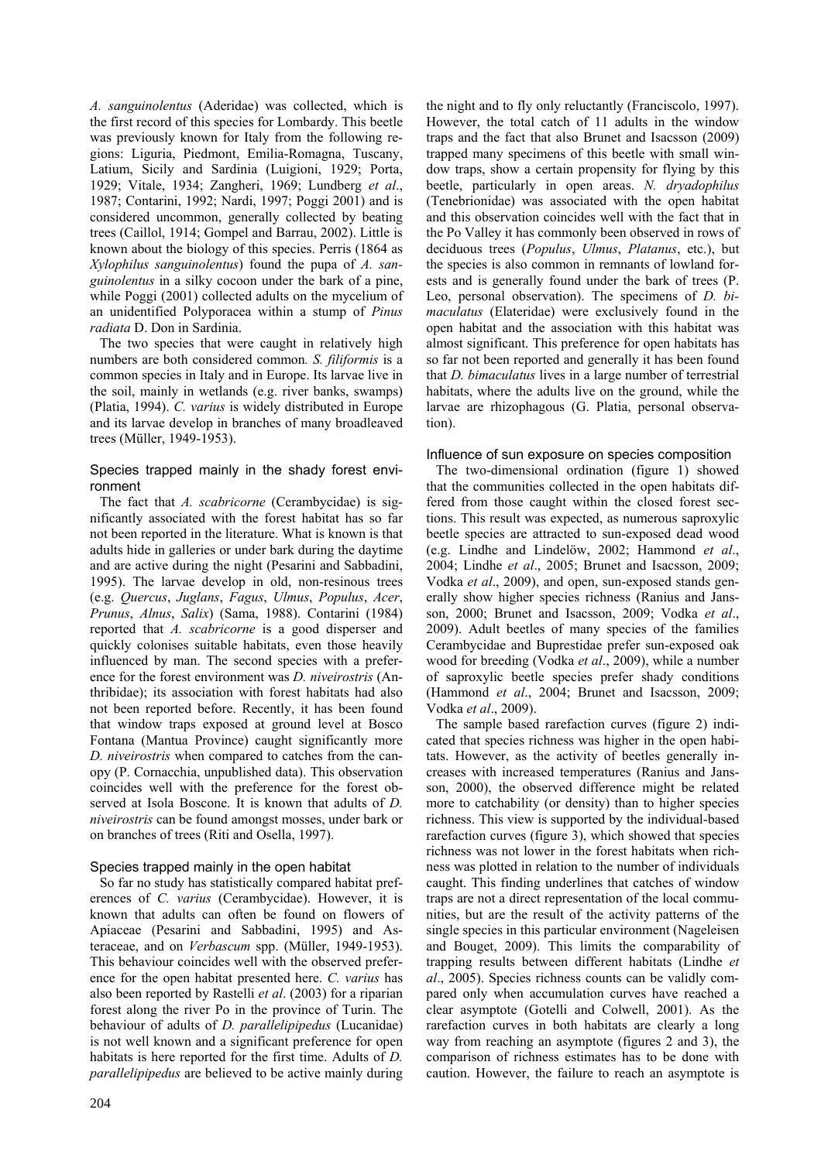*A. sanguinolentus* (Aderidae) was collected, which is the first record of this species for Lombardy. This beetle was previously known for Italy from the following regions: Liguria, Piedmont, Emilia-Romagna, Tuscany, Latium, Sicily and Sardinia (Luigioni, 1929; Porta, 1929; Vitale, 1934; Zangheri, 1969; Lundberg *et al*., 1987; Contarini, 1992; Nardi, 1997; Poggi 2001) and is considered uncommon, generally collected by beating trees (Caillol, 1914; Gompel and Barrau, 2002). Little is known about the biology of this species. Perris (1864 as *Xylophilus sanguinolentus*) found the pupa of *A. sanguinolentus* in a silky cocoon under the bark of a pine, while Poggi (2001) collected adults on the mycelium of an unidentified Polyporacea within a stump of *Pinus radiata* D. Don in Sardinia.

The two species that were caught in relatively high numbers are both considered common*. S. filiformis* is a common species in Italy and in Europe. Its larvae live in the soil, mainly in wetlands (e.g. river banks, swamps) (Platia, 1994). *C. varius* is widely distributed in Europe and its larvae develop in branches of many broadleaved trees (Müller, 1949-1953).

## Species trapped mainly in the shady forest environment

The fact that *A. scabricorne* (Cerambycidae) is significantly associated with the forest habitat has so far not been reported in the literature. What is known is that adults hide in galleries or under bark during the daytime and are active during the night (Pesarini and Sabbadini, 1995). The larvae develop in old, non-resinous trees (e.g. *Quercus*, *Juglans*, *Fagus*, *Ulmus*, *Populus*, *Acer*, *Prunus*, *Alnus*, *Salix*) (Sama, 1988). Contarini (1984) reported that *A. scabricorne* is a good disperser and quickly colonises suitable habitats, even those heavily influenced by man. The second species with a preference for the forest environment was *D. niveirostris* (Anthribidae); its association with forest habitats had also not been reported before. Recently, it has been found that window traps exposed at ground level at Bosco Fontana (Mantua Province) caught significantly more *D. niveirostris* when compared to catches from the canopy (P. Cornacchia, unpublished data). This observation coincides well with the preference for the forest observed at Isola Boscone. It is known that adults of *D. niveirostris* can be found amongst mosses, under bark or on branches of trees (Riti and Osella, 1997).

## Species trapped mainly in the open habitat

So far no study has statistically compared habitat preferences of *C. varius* (Cerambycidae). However, it is known that adults can often be found on flowers of Apiaceae (Pesarini and Sabbadini, 1995) and Asteraceae, and on *Verbascum* spp. (Müller, 1949-1953). This behaviour coincides well with the observed preference for the open habitat presented here. *C. varius* has also been reported by Rastelli *et al*. (2003) for a riparian forest along the river Po in the province of Turin. The behaviour of adults of *D. parallelipipedus* (Lucanidae) is not well known and a significant preference for open habitats is here reported for the first time. Adults of *D. parallelipipedus* are believed to be active mainly during the night and to fly only reluctantly (Franciscolo, 1997). However, the total catch of 11 adults in the window traps and the fact that also Brunet and Isacsson (2009) trapped many specimens of this beetle with small window traps, show a certain propensity for flying by this beetle, particularly in open areas. *N. dryadophilus* (Tenebrionidae) was associated with the open habitat and this observation coincides well with the fact that in the Po Valley it has commonly been observed in rows of deciduous trees (*Populus*, *Ulmus*, *Platanus*, etc.), but the species is also common in remnants of lowland forests and is generally found under the bark of trees (P. Leo, personal observation). The specimens of *D. bimaculatus* (Elateridae) were exclusively found in the open habitat and the association with this habitat was almost significant. This preference for open habitats has so far not been reported and generally it has been found that *D. bimaculatus* lives in a large number of terrestrial habitats, where the adults live on the ground, while the larvae are rhizophagous (G. Platia, personal observation).

# Influence of sun exposure on species composition

The two-dimensional ordination (figure 1) showed that the communities collected in the open habitats differed from those caught within the closed forest sections. This result was expected, as numerous saproxylic beetle species are attracted to sun-exposed dead wood (e.g. Lindhe and Lindelöw, 2002; Hammond *et al*., 2004; Lindhe *et al*., 2005; Brunet and Isacsson, 2009; Vodka *et al*., 2009), and open, sun-exposed stands generally show higher species richness (Ranius and Jansson, 2000; Brunet and Isacsson, 2009; Vodka *et al*., 2009). Adult beetles of many species of the families Cerambycidae and Buprestidae prefer sun-exposed oak wood for breeding (Vodka *et al*., 2009), while a number of saproxylic beetle species prefer shady conditions (Hammond *et al*., 2004; Brunet and Isacsson, 2009; Vodka *et al*., 2009).

The sample based rarefaction curves (figure 2) indicated that species richness was higher in the open habitats. However, as the activity of beetles generally increases with increased temperatures (Ranius and Jansson, 2000), the observed difference might be related more to catchability (or density) than to higher species richness. This view is supported by the individual-based rarefaction curves (figure 3), which showed that species richness was not lower in the forest habitats when richness was plotted in relation to the number of individuals caught. This finding underlines that catches of window traps are not a direct representation of the local communities, but are the result of the activity patterns of the single species in this particular environment (Nageleisen and Bouget, 2009). This limits the comparability of trapping results between different habitats (Lindhe *et al*., 2005). Species richness counts can be validly compared only when accumulation curves have reached a clear asymptote (Gotelli and Colwell, 2001). As the rarefaction curves in both habitats are clearly a long way from reaching an asymptote (figures 2 and 3), the comparison of richness estimates has to be done with caution. However, the failure to reach an asymptote is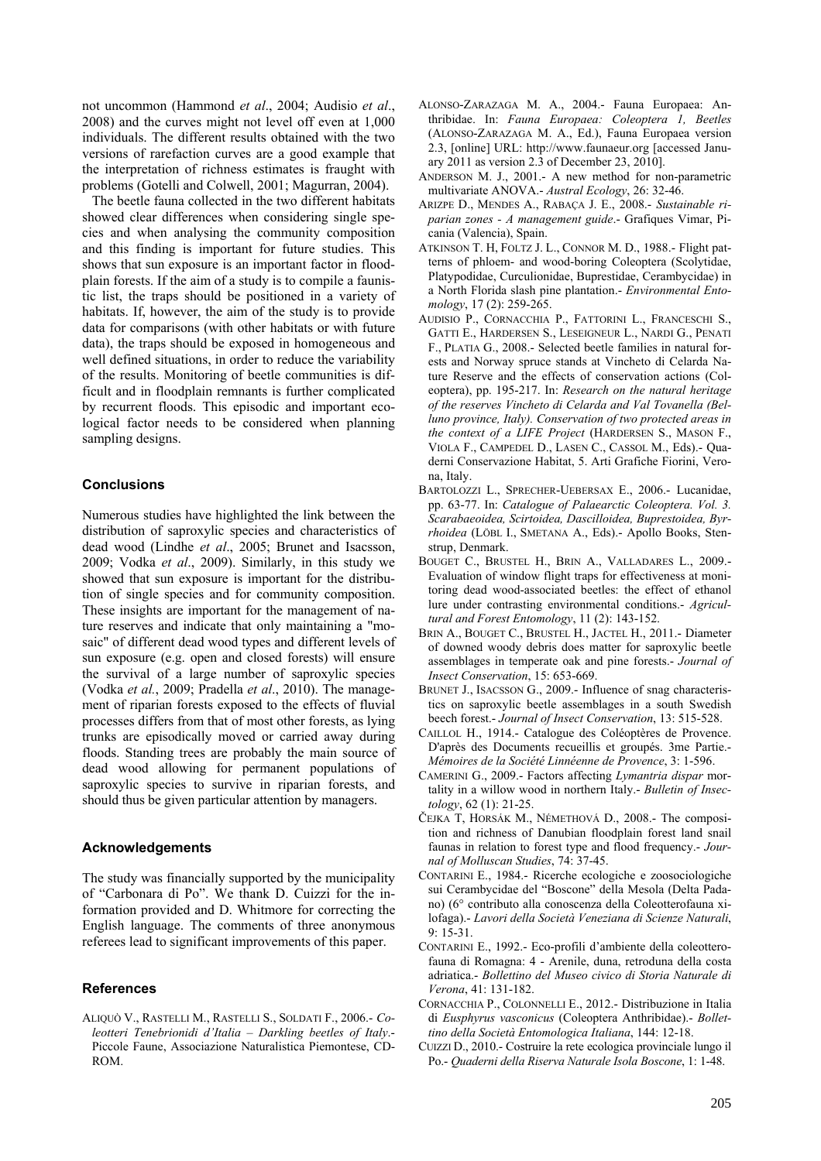not uncommon (Hammond *et al*., 2004; Audisio *et al*., 2008) and the curves might not level off even at 1,000 individuals. The different results obtained with the two versions of rarefaction curves are a good example that the interpretation of richness estimates is fraught with problems (Gotelli and Colwell, 2001; Magurran, 2004).

The beetle fauna collected in the two different habitats showed clear differences when considering single species and when analysing the community composition and this finding is important for future studies. This shows that sun exposure is an important factor in floodplain forests. If the aim of a study is to compile a faunistic list, the traps should be positioned in a variety of habitats. If, however, the aim of the study is to provide data for comparisons (with other habitats or with future data), the traps should be exposed in homogeneous and well defined situations, in order to reduce the variability of the results. Monitoring of beetle communities is difficult and in floodplain remnants is further complicated by recurrent floods. This episodic and important ecological factor needs to be considered when planning sampling designs.

#### **Conclusions**

Numerous studies have highlighted the link between the distribution of saproxylic species and characteristics of dead wood (Lindhe *et al*., 2005; Brunet and Isacsson, 2009; Vodka *et al*., 2009). Similarly, in this study we showed that sun exposure is important for the distribution of single species and for community composition. These insights are important for the management of nature reserves and indicate that only maintaining a "mosaic" of different dead wood types and different levels of sun exposure (e.g. open and closed forests) will ensure the survival of a large number of saproxylic species (Vodka *et al.*, 2009; Pradella *et al*., 2010). The management of riparian forests exposed to the effects of fluvial processes differs from that of most other forests, as lying trunks are episodically moved or carried away during floods. Standing trees are probably the main source of dead wood allowing for permanent populations of saproxylic species to survive in riparian forests, and should thus be given particular attention by managers.

#### **Acknowledgements**

The study was financially supported by the municipality of "Carbonara di Po". We thank D. Cuizzi for the information provided and D. Whitmore for correcting the English language. The comments of three anonymous referees lead to significant improvements of this paper.

#### **References**

ALIQUÒ V., RASTELLI M., RASTELLI S., SOLDATI F., 2006.- *Coleotteri Tenebrionidi d'Italia – Darkling beetles of Italy*.- Piccole Faune, Associazione Naturalistica Piemontese, CD-ROM.

- ALONSO-ZARAZAGA M. A., 2004.- Fauna Europaea: Anthribidae. In: *Fauna Europaea: Coleoptera 1, Beetles* (ALONSO-ZARAZAGA M. A., Ed.), Fauna Europaea version 2.3, [online] URL: http://www.faunaeur.org [accessed January 2011 as version 2.3 of December 23, 2010].
- ANDERSON M. J., 2001.- A new method for non-parametric multivariate ANOVA.- *Austral Ecology*, 26: 32-46.
- ARIZPE D., MENDES A., RABAÇA J. E., 2008.- *Sustainable riparian zones - A management guide*.- Grafiques Vimar, Picania (Valencia), Spain.
- ATKINSON T. H, FOLTZ J. L., CONNOR M. D., 1988.- Flight patterns of phloem- and wood-boring Coleoptera (Scolytidae, Platypodidae, Curculionidae, Buprestidae, Cerambycidae) in a North Florida slash pine plantation.- *Environmental Entomology*, 17 (2): 259-265.
- AUDISIO P., CORNACCHIA P., FATTORINI L., FRANCESCHI S., GATTI E., HARDERSEN S., LESEIGNEUR L., NARDI G., PENATI F., PLATIA G., 2008.- Selected beetle families in natural forests and Norway spruce stands at Vincheto di Celarda Nature Reserve and the effects of conservation actions (Coleoptera), pp. 195-217. In: *Research on the natural heritage of the reserves Vincheto di Celarda and Val Tovanella (Belluno province, Italy). Conservation of two protected areas in the context of a LIFE Project* (HARDERSEN S., MASON F., VIOLA F., CAMPEDEL D., LASEN C., CASSOL M., Eds).- Quaderni Conservazione Habitat, 5. Arti Grafiche Fiorini, Verona, Italy.
- BARTOLOZZI L., SPRECHER-UEBERSAX E., 2006.- Lucanidae, pp. 63-77. In: *Catalogue of Palaearctic Coleoptera. Vol. 3. Scarabaeoidea, Scirtoidea, Dascilloidea, Buprestoidea, Byrrhoidea* (LÖBL I., SMETANA A., Eds).- Apollo Books, Stenstrup, Denmark.
- BOUGET C., BRUSTEL H., BRIN A., VALLADARES L., 2009.- Evaluation of window flight traps for effectiveness at monitoring dead wood-associated beetles: the effect of ethanol lure under contrasting environmental conditions.- *Agricultural and Forest Entomology*, 11 (2): 143-152.
- BRIN A., BOUGET C., BRUSTEL H., JACTEL H., 2011.- Diameter of downed woody debris does matter for saproxylic beetle assemblages in temperate oak and pine forests.- *Journal of Insect Conservation*, 15: 653-669.
- BRUNET J., ISACSSON G., 2009.- Influence of snag characteristics on saproxylic beetle assemblages in a south Swedish beech forest.- *Journal of Insect Conservation*, 13: 515-528.
- CAILLOL H., 1914.- Catalogue des Coléoptères de Provence. D'après des Documents recueillis et groupés. 3me Partie.- *Mémoires de la Société Linnéenne de Provence*, 3: 1-596.
- CAMERINI G., 2009.- Factors affecting *Lymantria dispar* mortality in a willow wood in northern Italy.- *Bulletin of Insectology*, 62 (1): 21-25.
- ČEJKA T, HORSÁK M., NÉMETHOVÁ D., 2008.- The composition and richness of Danubian floodplain forest land snail faunas in relation to forest type and flood frequency.- *Journal of Molluscan Studies*, 74: 37-45.
- CONTARINI E., 1984.- Ricerche ecologiche e zoosociologiche sui Cerambycidae del "Boscone" della Mesola (Delta Padano) (6° contributo alla conoscenza della Coleotterofauna xilofaga).- *Lavori della Società Veneziana di Scienze Naturali*, 9: 15-31.
- CONTARINI E., 1992.- Eco-profili d'ambiente della coleotterofauna di Romagna: 4 - Arenile, duna, retroduna della costa adriatica.- *Bollettino del Museo civico di Storia Naturale di Verona*, 41: 131-182.
- CORNACCHIA P., COLONNELLI E., 2012.- Distribuzione in Italia di *Eusphyrus vasconicus* (Coleoptera Anthribidae).- *Bollettino della Società Entomologica Italiana*, 144: 12-18.
- CUIZZI D., 2010.- Costruire la rete ecologica provinciale lungo il Po.- *Quaderni della Riserva Naturale Isola Boscone*, 1: 1-48.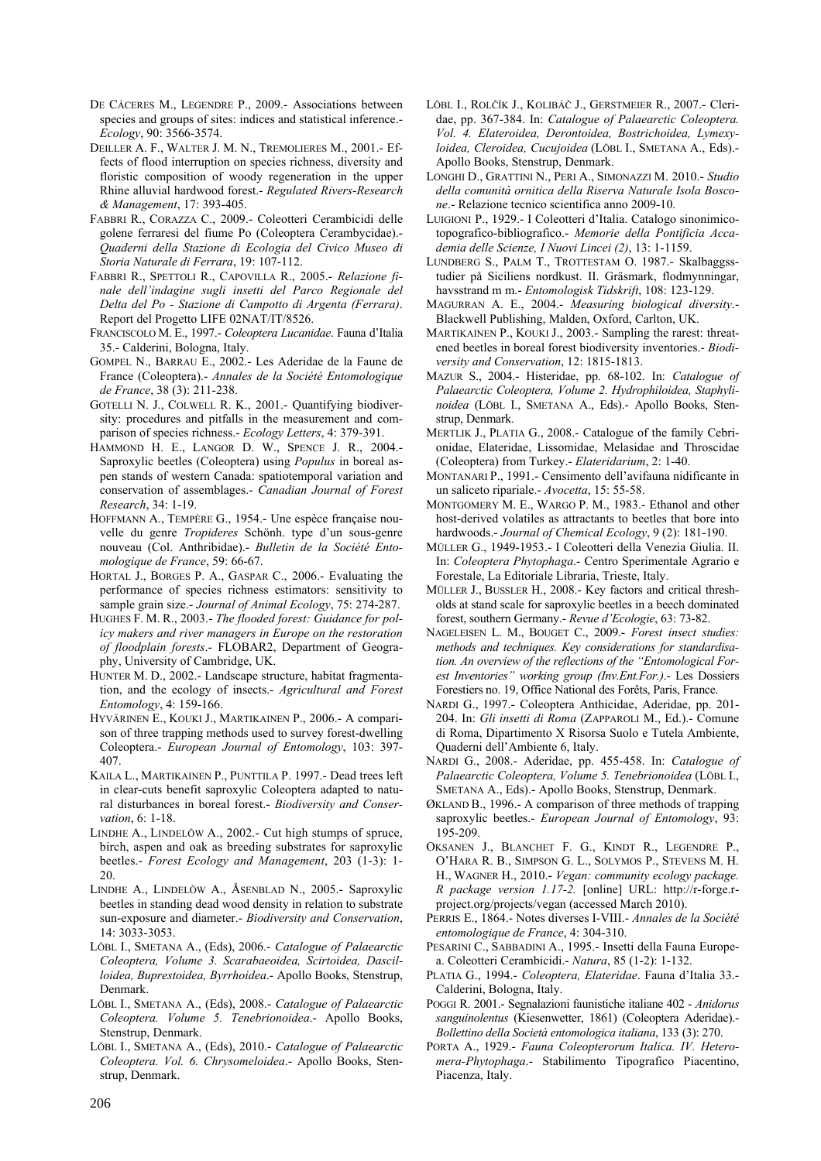- DE CÁCERES M., LEGENDRE P., 2009.- Associations between species and groups of sites: indices and statistical inference.- *Ecology*, 90: 3566-3574.
- DEILLER A. F., WALTER J. M. N., TREMOLIERES M., 2001.- Effects of flood interruption on species richness, diversity and floristic composition of woody regeneration in the upper Rhine alluvial hardwood forest.- *Regulated Rivers-Research & Management*, 17: 393-405.
- FABBRI R., CORAZZA C., 2009.- Coleotteri Cerambicidi delle golene ferraresi del fiume Po (Coleoptera Cerambycidae).- *Quaderni della Stazione di Ecologia del Civico Museo di Storia Naturale di Ferrara*, 19: 107-112.
- FABBRI R., SPETTOLI R., CAPOVILLA R., 2005.- *Relazione finale dell'indagine sugli insetti del Parco Regionale del Delta del Po - Stazione di Campotto di Argenta (Ferrara)*. Report del Progetto LIFE 02NAT/IT/8526.
- FRANCISCOLO M. E., 1997.- *Coleoptera Lucanidae*. Fauna d'Italia 35.- Calderini, Bologna, Italy.
- GOMPEL N., BARRAU E., 2002.- Les Aderidae de la Faune de France (Coleoptera).- *Annales de la Société Entomologique de France*, 38 (3): 211-238.
- GOTELLI N. J., COLWELL R. K., 2001.- Quantifying biodiversity: procedures and pitfalls in the measurement and comparison of species richness.- *Ecology Letters*, 4: 379-391.
- HAMMOND H. E., LANGOR D. W., SPENCE J. R., 2004.- Saproxylic beetles (Coleoptera) using *Populus* in boreal aspen stands of western Canada: spatiotemporal variation and conservation of assemblages.- *Canadian Journal of Forest Research*, 34: 1-19.
- HOFFMANN A., TEMPÈRE G., 1954.- Une espèce française nouvelle du genre *Tropideres* Schönh. type d'un sous-genre nouveau (Col. Anthribidae).- *Bulletin de la Société Entomologique de France*, 59: 66-67.
- HORTAL J., BORGES P. A., GASPAR C., 2006.- Evaluating the performance of species richness estimators: sensitivity to sample grain size.- *Journal of Animal Ecology*, 75: 274-287.
- HUGHES F. M. R., 2003.- *The flooded forest: Guidance for policy makers and river managers in Europe on the restoration of floodplain forests*.- FLOBAR2, Department of Geography, University of Cambridge, UK.
- HUNTER M. D., 2002.- Landscape structure, habitat fragmentation, and the ecology of insects.- *Agricultural and Forest Entomology*, 4: 159-166.
- HYVÄRINEN E., KOUKI J., MARTIKAINEN P., 2006.- A comparison of three trapping methods used to survey forest-dwelling Coleoptera.- *European Journal of Entomology*, 103: 397- 407.
- KAILA L., MARTIKAINEN P., PUNTTILA P. 1997.- Dead trees left in clear-cuts benefit saproxylic Coleoptera adapted to natural disturbances in boreal forest.- *Biodiversity and Conservation*, 6: 1-18.
- LINDHE A., LINDELÖW A., 2002.- Cut high stumps of spruce, birch, aspen and oak as breeding substrates for saproxylic beetles.- *Forest Ecology and Management*, 203 (1-3): 1- 20.
- LINDHE A., LINDELÖW A., ÅSENBLAD N., 2005.- Saproxylic beetles in standing dead wood density in relation to substrate sun-exposure and diameter.- *Biodiversity and Conservation*, 14: 3033-3053.
- LÖBL I., SMETANA A., (Eds), 2006.- *Catalogue of Palaearctic Coleoptera, Volume 3. Scarabaeoidea, Scirtoidea, Dascilloidea, Buprestoidea, Byrrhoidea*.- Apollo Books, Stenstrup, Denmark.
- LÖBL I., SMETANA A., (Eds), 2008.- *Catalogue of Palaearctic Coleoptera. Volume 5. Tenebrionoidea*.- Apollo Books, Stenstrup, Denmark.
- LÖBL I., SMETANA A., (Eds), 2010.- *Catalogue of Palaearctic Coleoptera. Vol. 6. Chrysomeloidea*.- Apollo Books, Stenstrup, Denmark.
- LÖBL I., ROLČÍK J., KOLIBÁČ J., GERSTMEIER R., 2007.- Cleridae, pp. 367-384. In: *Catalogue of Palaearctic Coleoptera. Vol. 4. Elateroidea, Derontoidea, Bostrichoidea, Lymexyloidea, Cleroidea, Cucujoidea* (LÖBL I., SMETANA A., Eds).- Apollo Books, Stenstrup, Denmark.
- LONGHI D., GRATTINI N., PERI A., SIMONAZZI M. 2010.- *Studio della comunità ornitica della Riserva Naturale Isola Boscone*.- Relazione tecnico scientifica anno 2009-10.
- LUIGIONI P., 1929.- I Coleotteri d'Italia. Catalogo sinonimicotopografico-bibliografico.- *Memorie della Pontificia Accademia delle Scienze, I Nuovi Lincei (2)*, 13: 1-1159.
- LUNDBERG S., PALM T., TROTTESTAM O. 1987.- Skalbaggsstudier på Siciliens nordkust. II. Gräsmark, flodmynningar, havsstrand m m.- *Entomologisk Tidskrift*, 108: 123-129.
- MAGURRAN A. E., 2004.- *Measuring biological diversity*.- Blackwell Publishing, Malden, Oxford, Carlton, UK.
- MARTIKAINEN P., KOUKI J., 2003.- Sampling the rarest: threatened beetles in boreal forest biodiversity inventories.- *Biodiversity and Conservation*, 12: 1815-1813.
- MAZUR S., 2004.- Histeridae, pp. 68-102. In: *Catalogue of Palaearctic Coleoptera, Volume 2. Hydrophiloidea, Staphylinoidea* (LÖBL I., SMETANA A., Eds).- Apollo Books, Stenstrup, Denmark.
- MERTLIK J., PLATIA G., 2008.- Catalogue of the family Cebrionidae, Elateridae, Lissomidae, Melasidae and Throscidae (Coleoptera) from Turkey.- *Elateridarium*, 2: 1-40.
- MONTANARI P., 1991.- Censimento dell'avifauna nidificante in un saliceto ripariale.- *Avocetta*, 15: 55-58.
- MONTGOMERY M. E., WARGO P. M., 1983.- Ethanol and other host-derived volatiles as attractants to beetles that bore into hardwoods.- *Journal of Chemical Ecology*, 9 (2): 181-190.
- MÜLLER G., 1949-1953.- I Coleotteri della Venezia Giulia. II. In: *Coleoptera Phytophaga*.- Centro Sperimentale Agrario e Forestale, La Editoriale Libraria, Trieste, Italy.
- MÜLLER J., BUSSLER H., 2008.- Key factors and critical thresholds at stand scale for saproxylic beetles in a beech dominated forest, southern Germany.- *Revue d'Ecologie*, 63: 73-82.
- NAGELEISEN L. M., BOUGET C., 2009.- *Forest insect studies: methods and techniques. Key considerations for standardisation. An overview of the reflections of the "Entomological Forest Inventories" working group (Inv.Ent.For.)*.- Les Dossiers Forestiers no. 19, Office National des Forêts, Paris, France.
- NARDI G., 1997.- Coleoptera Anthicidae, Aderidae, pp. 201- 204. In: *Gli insetti di Roma* (ZAPPAROLI M., Ed.).- Comune di Roma, Dipartimento X Risorsa Suolo e Tutela Ambiente, Quaderni dell'Ambiente 6, Italy.
- NARDI G., 2008.- Aderidae, pp. 455-458. In: *Catalogue of Palaearctic Coleoptera, Volume 5. Tenebrionoidea* (LÖBL I., SMETANA A., Eds).- Apollo Books, Stenstrup, Denmark.
- ØKLAND B., 1996.- A comparison of three methods of trapping saproxylic beetles.- *European Journal of Entomology*, 93: 195-209.
- OKSANEN J., BLANCHET F. G., KINDT R., LEGENDRE P., O'HARA R. B., SIMPSON G. L., SOLYMOS P., STEVENS M. H. H., WAGNER H., 2010.- *Vegan: community ecology package. R package version 1.17-2.* [online] URL: http://r-forge.rproject.org/projects/vegan (accessed March 2010).
- PERRIS E., 1864.- Notes diverses I-VIII.- *Annales de la Société entomologique de France*, 4: 304-310.
- PESARINI C., SABBADINI A., 1995.- Insetti della Fauna Europea. Coleotteri Cerambicidi.- *Natura*, 85 (1-2): 1-132.
- PLATIA G., 1994.- *Coleoptera, Elateridae*. Fauna d'Italia 33.- Calderini, Bologna, Italy.
- POGGI R. 2001.- Segnalazioni faunistiche italiane 402 *Anidorus sanguinolentus* (Kiesenwetter, 1861) (Coleoptera Aderidae).- *Bollettino della Società entomologica italiana*, 133 (3): 270.
- PORTA A., 1929.- *Fauna Coleopterorum Italica. IV. Heteromera-Phytophaga*.- Stabilimento Tipografico Piacentino, Piacenza, Italy.